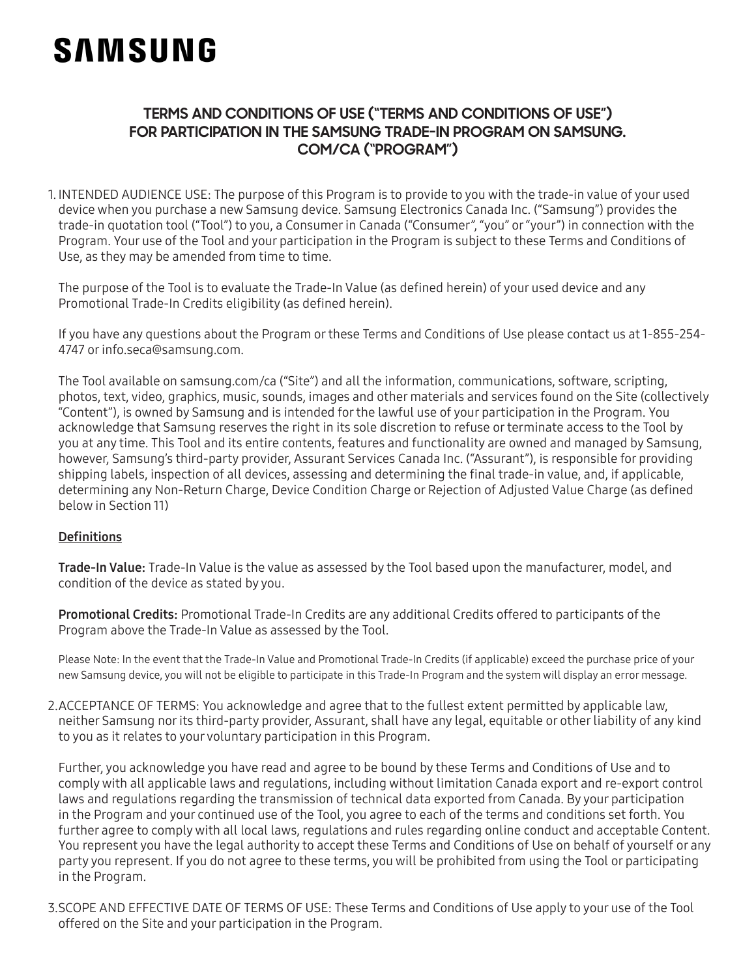# **SAMSUNG**

## **TERMS AND CONDITIONS OF USE ("TERMS AND CONDITIONS OF USE") FOR PARTICIPATION IN THE SAMSUNG TRADE-IN PROGRAM ON SAMSUNG. COM/CA ("PROGRAM")**

1. INTENDED AUDIENCE USE: The purpose of this Program is to provide to you with the trade-in value of your used device when you purchase a new Samsung device. Samsung Electronics Canada Inc. ("Samsung") provides the trade-in quotation tool ("Tool") to you, a Consumer in Canada ("Consumer", "you" or "your") in connection with the Program. Your use of the Tool and your participation in the Program is subject to these Terms and Conditions of Use, as they may be amended from time to time.

The purpose of the Tool is to evaluate the Trade-In Value (as defined herein) of your used device and any Promotional Trade-In Credits eligibility (as defined herein).

If you have any questions about the Program or these Terms and Conditions of Use please contact us at 1-855-254- 4747 or info.seca@samsung.com.

The Tool available on samsung.com/ca ("Site") and all the information, communications, software, scripting, photos, text, video, graphics, music, sounds, images and other materials and services found on the Site (collectively "Content"), is owned by Samsung and is intended for the lawful use of your participation in the Program. You acknowledge that Samsung reserves the right in its sole discretion to refuse or terminate access to the Tool by you at any time. This Tool and its entire contents, features and functionality are owned and managed by Samsung, however, Samsung's third-party provider, Assurant Services Canada Inc. ("Assurant"), is responsible for providing shipping labels, inspection of all devices, assessing and determining the final trade-in value, and, if applicable, determining any Non-Return Charge, Device Condition Charge or Rejection of Adjusted Value Charge (as defined below in Section 11)

## **Definitions**

Trade-In Value: Trade-In Value is the value as assessed by the Tool based upon the manufacturer, model, and condition of the device as stated by you.

Promotional Credits: Promotional Trade-In Credits are any additional Credits offered to participants of the Program above the Trade-In Value as assessed by the Tool.

Please Note: In the event that the Trade-In Value and Promotional Trade-In Credits (if applicable) exceed the purchase price of your new Samsung device, you will not be eligible to participate in this Trade-In Program and the system will display an error message.

2.ACCEPTANCE OF TERMS: You acknowledge and agree that to the fullest extent permitted by applicable law, neither Samsung nor its third-party provider, Assurant, shall have any legal, equitable or other liability of any kind to you as it relates to your voluntary participation in this Program.

Further, you acknowledge you have read and agree to be bound by these Terms and Conditions of Use and to comply with all applicable laws and regulations, including without limitation Canada export and re-export control laws and regulations regarding the transmission of technical data exported from Canada. By your participation in the Program and your continued use of the Tool, you agree to each of the terms and conditions set forth. You further agree to comply with all local laws, regulations and rules regarding online conduct and acceptable Content. You represent you have the legal authority to accept these Terms and Conditions of Use on behalf of yourself or any party you represent. If you do not agree to these terms, you will be prohibited from using the Tool or participating in the Program.

3.SCOPE AND EFFECTIVE DATE OF TERMS OF USE: These Terms and Conditions of Use apply to your use of the Tool offered on the Site and your participation in the Program.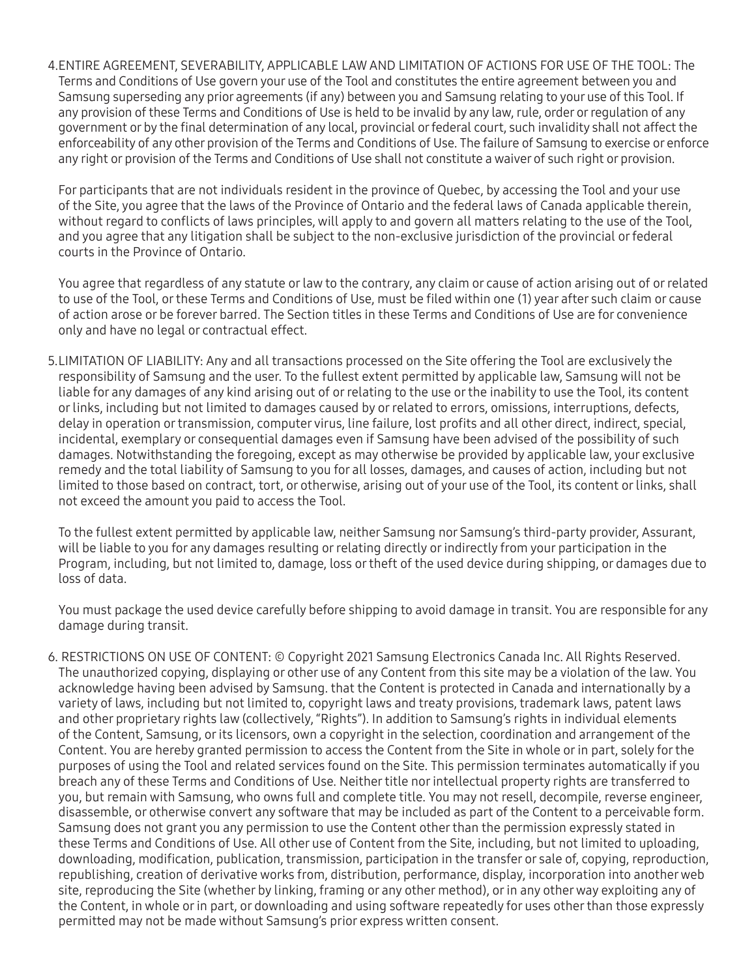4.ENTIRE AGREEMENT, SEVERABILITY, APPLICABLE LAW AND LIMITATION OF ACTIONS FOR USE OF THE TOOL: The Terms and Conditions of Use govern your use of the Tool and constitutes the entire agreement between you and Samsung superseding any prior agreements (if any) between you and Samsung relating to your use of this Tool. If any provision of these Terms and Conditions of Use is held to be invalid by any law, rule, order or regulation of any government or by the final determination of any local, provincial or federal court, such invalidity shall not affect the enforceability of any other provision of the Terms and Conditions of Use. The failure of Samsung to exercise or enforce any right or provision of the Terms and Conditions of Use shall not constitute a waiver of such right or provision.

For participants that are not individuals resident in the province of Quebec, by accessing the Tool and your use of the Site, you agree that the laws of the Province of Ontario and the federal laws of Canada applicable therein, without regard to conflicts of laws principles, will apply to and govern all matters relating to the use of the Tool, and you agree that any litigation shall be subject to the non-exclusive jurisdiction of the provincial or federal courts in the Province of Ontario.

You agree that regardless of any statute or law to the contrary, any claim or cause of action arising out of or related to use of the Tool, or these Terms and Conditions of Use, must be filed within one (1) year after such claim or cause of action arose or be forever barred. The Section titles in these Terms and Conditions of Use are for convenience only and have no legal or contractual effect.

5.LIMITATION OF LIABILITY: Any and all transactions processed on the Site offering the Tool are exclusively the responsibility of Samsung and the user. To the fullest extent permitted by applicable law, Samsung will not be liable for any damages of any kind arising out of or relating to the use or the inability to use the Tool, its content or links, including but not limited to damages caused by or related to errors, omissions, interruptions, defects, delay in operation or transmission, computer virus, line failure, lost profits and all other direct, indirect, special, incidental, exemplary or consequential damages even if Samsung have been advised of the possibility of such damages. Notwithstanding the foregoing, except as may otherwise be provided by applicable law, your exclusive remedy and the total liability of Samsung to you for all losses, damages, and causes of action, including but not limited to those based on contract, tort, or otherwise, arising out of your use of the Tool, its content or links, shall not exceed the amount you paid to access the Tool.

To the fullest extent permitted by applicable law, neither Samsung nor Samsung's third-party provider, Assurant, will be liable to you for any damages resulting or relating directly or indirectly from your participation in the Program, including, but not limited to, damage, loss or theft of the used device during shipping, or damages due to loss of data.

You must package the used device carefully before shipping to avoid damage in transit. You are responsible for any damage during transit.

6. RESTRICTIONS ON USE OF CONTENT: © Copyright 2021 Samsung Electronics Canada Inc. All Rights Reserved. The unauthorized copying, displaying or other use of any Content from this site may be a violation of the law. You acknowledge having been advised by Samsung. that the Content is protected in Canada and internationally by a variety of laws, including but not limited to, copyright laws and treaty provisions, trademark laws, patent laws and other proprietary rights law (collectively, "Rights"). In addition to Samsung's rights in individual elements of the Content, Samsung, or its licensors, own a copyright in the selection, coordination and arrangement of the Content. You are hereby granted permission to access the Content from the Site in whole or in part, solely for the purposes of using the Tool and related services found on the Site. This permission terminates automatically if you breach any of these Terms and Conditions of Use. Neither title nor intellectual property rights are transferred to you, but remain with Samsung, who owns full and complete title. You may not resell, decompile, reverse engineer, disassemble, or otherwise convert any software that may be included as part of the Content to a perceivable form. Samsung does not grant you any permission to use the Content other than the permission expressly stated in these Terms and Conditions of Use. All other use of Content from the Site, including, but not limited to uploading, downloading, modification, publication, transmission, participation in the transfer or sale of, copying, reproduction, republishing, creation of derivative works from, distribution, performance, display, incorporation into another web site, reproducing the Site (whether by linking, framing or any other method), or in any other way exploiting any of the Content, in whole or in part, or downloading and using software repeatedly for uses other than those expressly permitted may not be made without Samsung's prior express written consent.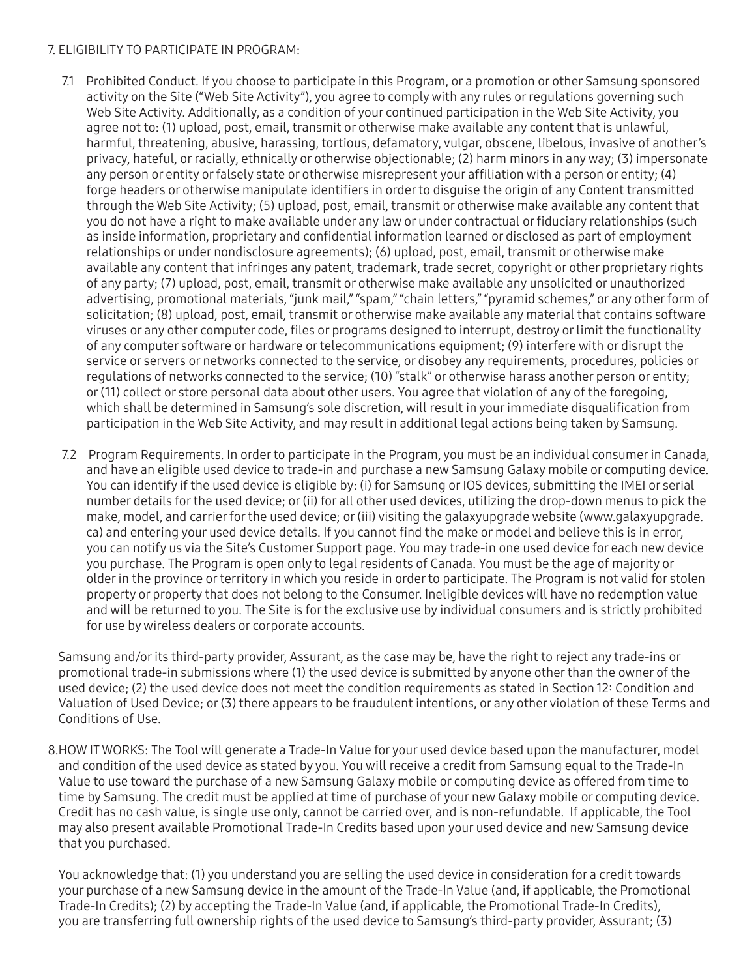#### 7. ELIGIBILITY TO PARTICIPATE IN PROGRAM:

- 7.1 Prohibited Conduct. If you choose to participate in this Program, or a promotion or other Samsung sponsored activity on the Site ("Web Site Activity"), you agree to comply with any rules or regulations governing such Web Site Activity. Additionally, as a condition of your continued participation in the Web Site Activity, you agree not to: (1) upload, post, email, transmit or otherwise make available any content that is unlawful, harmful, threatening, abusive, harassing, tortious, defamatory, vulgar, obscene, libelous, invasive of another's privacy, hateful, or racially, ethnically or otherwise objectionable; (2) harm minors in any way; (3) impersonate any person or entity or falsely state or otherwise misrepresent your affiliation with a person or entity; (4) forge headers or otherwise manipulate identifiers in order to disguise the origin of any Content transmitted through the Web Site Activity; (5) upload, post, email, transmit or otherwise make available any content that you do not have a right to make available under any law or under contractual or fiduciary relationships (such as inside information, proprietary and confidential information learned or disclosed as part of employment relationships or under nondisclosure agreements); (6) upload, post, email, transmit or otherwise make available any content that infringes any patent, trademark, trade secret, copyright or other proprietary rights of any party; (7) upload, post, email, transmit or otherwise make available any unsolicited or unauthorized advertising, promotional materials, "junk mail," "spam," "chain letters," "pyramid schemes," or any other form of solicitation; (8) upload, post, email, transmit or otherwise make available any material that contains software viruses or any other computer code, files or programs designed to interrupt, destroy or limit the functionality of any computer software or hardware or telecommunications equipment; (9) interfere with or disrupt the service or servers or networks connected to the service, or disobey any requirements, procedures, policies or regulations of networks connected to the service; (10) "stalk" or otherwise harass another person or entity; or (11) collect or store personal data about other users. You agree that violation of any of the foregoing, which shall be determined in Samsung's sole discretion, will result in your immediate disqualification from participation in the Web Site Activity, and may result in additional legal actions being taken by Samsung.
- 7.2 Program Requirements. In order to participate in the Program, you must be an individual consumer in Canada, and have an eligible used device to trade-in and purchase a new Samsung Galaxy mobile or computing device. You can identify if the used device is eligible by: (i) for Samsung or IOS devices, submitting the IMEI or serial number details for the used device; or (ii) for all other used devices, utilizing the drop-down menus to pick the make, model, and carrier for the used device; or (iii) visiting the galaxyupgrade website (www.galaxyupgrade. ca) and entering your used device details. If you cannot find the make or model and believe this is in error, you can notify us via the Site's Customer Support page. You may trade-in one used device for each new device you purchase. The Program is open only to legal residents of Canada. You must be the age of majority or older in the province or territory in which you reside in order to participate. The Program is not valid for stolen property or property that does not belong to the Consumer. Ineligible devices will have no redemption value and will be returned to you. The Site is for the exclusive use by individual consumers and is strictly prohibited for use by wireless dealers or corporate accounts.

Samsung and/or its third-party provider, Assurant, as the case may be, have the right to reject any trade-ins or promotional trade-in submissions where (1) the used device is submitted by anyone other than the owner of the used device; (2) the used device does not meet the condition requirements as stated in Section 12: Condition and Valuation of Used Device; or (3) there appears to be fraudulent intentions, or any other violation of these Terms and Conditions of Use.

8.HOW IT WORKS: The Tool will generate a Trade-In Value for your used device based upon the manufacturer, model and condition of the used device as stated by you. You will receive a credit from Samsung equal to the Trade-In Value to use toward the purchase of a new Samsung Galaxy mobile or computing device as offered from time to time by Samsung. The credit must be applied at time of purchase of your new Galaxy mobile or computing device. Credit has no cash value, is single use only, cannot be carried over, and is non-refundable. If applicable, the Tool may also present available Promotional Trade-In Credits based upon your used device and new Samsung device that you purchased.

You acknowledge that: (1) you understand you are selling the used device in consideration for a credit towards your purchase of a new Samsung device in the amount of the Trade-In Value (and, if applicable, the Promotional Trade-In Credits); (2) by accepting the Trade-In Value (and, if applicable, the Promotional Trade-In Credits), you are transferring full ownership rights of the used device to Samsung's third-party provider, Assurant; (3)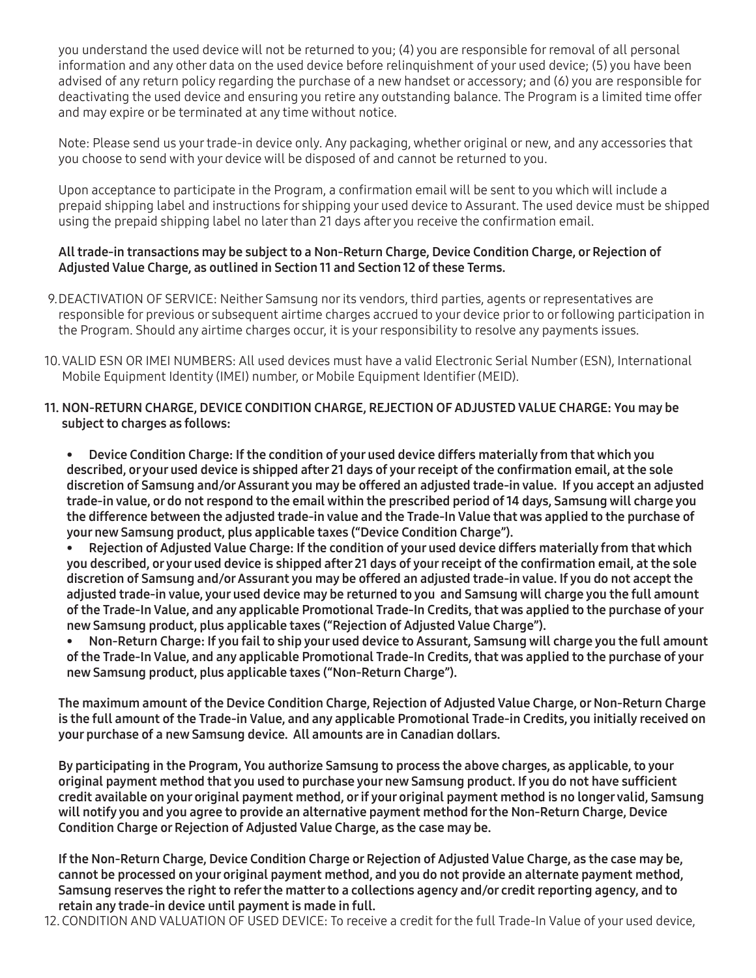you understand the used device will not be returned to you; (4) you are responsible for removal of all personal information and any other data on the used device before relinquishment of your used device; (5) you have been advised of any return policy regarding the purchase of a new handset or accessory; and (6) you are responsible for deactivating the used device and ensuring you retire any outstanding balance. The Program is a limited time offer and may expire or be terminated at any time without notice.

Note: Please send us your trade-in device only. Any packaging, whether original or new, and any accessories that you choose to send with your device will be disposed of and cannot be returned to you.

Upon acceptance to participate in the Program, a confirmation email will be sent to you which will include a prepaid shipping label and instructions for shipping your used device to Assurant. The used device must be shipped using the prepaid shipping label no later than 21 days after you receive the confirmation email.

### All trade-in transactions may be subject to a Non-Return Charge, Device Condition Charge, or Rejection of Adjusted Value Charge, as outlined in Section 11 and Section 12 of these Terms.

- 9.DEACTIVATION OF SERVICE: Neither Samsung nor its vendors, third parties, agents or representatives are responsible for previous or subsequent airtime charges accrued to your device prior to or following participation in the Program. Should any airtime charges occur, it is your responsibility to resolve any payments issues.
- 10.VALID ESN OR IMEI NUMBERS: All used devices must have a valid Electronic Serial Number (ESN), International Mobile Equipment Identity (IMEI) number, or Mobile Equipment Identifier (MEID).
- 11. NON-RETURN CHARGE, DEVICE CONDITION CHARGE, REJECTION OF ADJUSTED VALUE CHARGE: You may be subject to charges as follows:

• Device Condition Charge: If the condition of your used device differs materially from that which you described, or your used device is shipped after 21 days of your receipt of the confirmation email, at the sole discretion of Samsung and/or Assurant you may be offered an adjusted trade-in value. If you accept an adjusted trade-in value, or do not respond to the email within the prescribed period of 14 days, Samsung will charge you the difference between the adjusted trade-in value and the Trade-In Value that was applied to the purchase of your new Samsung product, plus applicable taxes ("Device Condition Charge").

• Rejection of Adjusted Value Charge: If the condition of your used device differs materially from that which you described, or your used device is shipped after 21 days of your receipt of the confirmation email, at the sole discretion of Samsung and/or Assurant you may be offered an adjusted trade-in value. If you do not accept the adjusted trade-in value, your used device may be returned to you and Samsung will charge you the full amount of the Trade-In Value, and any applicable Promotional Trade-In Credits, that was applied to the purchase of your new Samsung product, plus applicable taxes ("Rejection of Adjusted Value Charge").

• Non-Return Charge: If you fail to ship your used device to Assurant, Samsung will charge you the full amount of the Trade-In Value, and any applicable Promotional Trade-In Credits, that was applied to the purchase of your new Samsung product, plus applicable taxes ("Non-Return Charge").

The maximum amount of the Device Condition Charge, Rejection of Adjusted Value Charge, or Non-Return Charge is the full amount of the Trade-in Value, and any applicable Promotional Trade-in Credits, you initially received on your purchase of a new Samsung device. All amounts are in Canadian dollars.

By participating in the Program, You authorize Samsung to process the above charges, as applicable, to your original payment method that you used to purchase your new Samsung product. If you do not have sufficient credit available on your original payment method, or if your original payment method is no longer valid, Samsung will notify you and you agree to provide an alternative payment method for the Non-Return Charge, Device Condition Charge or Rejection of Adjusted Value Charge, as the case may be.

If the Non-Return Charge, Device Condition Charge or Rejection of Adjusted Value Charge, as the case may be, cannot be processed on your original payment method, and you do not provide an alternate payment method, Samsung reserves the right to refer the matter to a collections agency and/or credit reporting agency, and to retain any trade-in device until payment is made in full.

12. CONDITION AND VALUATION OF USED DEVICE: To receive a credit for the full Trade-In Value of your used device,